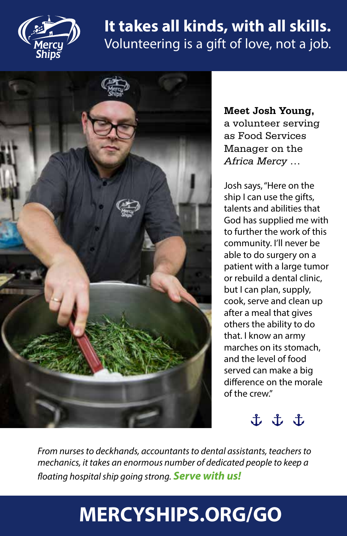

### **It takes all kinds, with all skills.** Volunteering is a gift of love, not a job.



**Meet Josh Young,**  a volunteer serving as Food Services Manager on the *Africa Mercy* …

Josh says, "Here on the ship I can use the gifts, talents and abilities that God has supplied me with to further the work of this community. I'll never be able to do surgery on a patient with a large tumor or rebuild a dental clinic, but I can plan, supply, cook, serve and clean up after a meal that gives others the ability to do that. I know an army marches on its stomach, and the level of food served can make a big difference on the morale of the crew."

t t t

*From nurses to deckhands, accountants to dental assistants, teachers to mechanics, it takes an enormous number of dedicated people to keep a floating hospital ship going strong. Serve with us!*

## **MERCYSHIPS.ORG/GO**